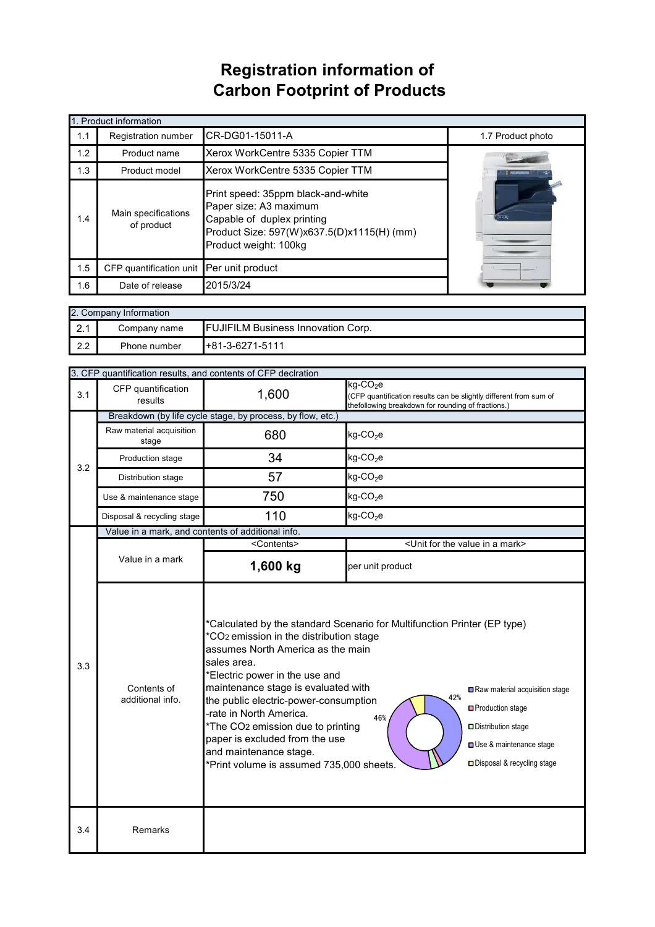## **Registration information of Carbon Footprint of Products**

|     | 1. Product information                                                                                                                                                                                 |                                  |                   |  |  |
|-----|--------------------------------------------------------------------------------------------------------------------------------------------------------------------------------------------------------|----------------------------------|-------------------|--|--|
| 1.1 | <b>Registration number</b>                                                                                                                                                                             | CR-DG01-15011-A                  | 1.7 Product photo |  |  |
| 1.2 | Product name                                                                                                                                                                                           | Xerox WorkCentre 5335 Copier TTM |                   |  |  |
| 1.3 | Product model                                                                                                                                                                                          | Xerox WorkCentre 5335 Copier TTM |                   |  |  |
| 1.4 | Print speed: 35ppm black-and-white<br>Paper size: A3 maximum<br>Main specifications<br>Capable of duplex printing<br>of product<br>Product Size: 597(W)x637.5(D)x1115(H) (mm)<br>Product weight: 100kg |                                  |                   |  |  |
| 1.5 | CFP quantification unit                                                                                                                                                                                | Per unit product                 |                   |  |  |
| 1.6 | Date of release                                                                                                                                                                                        | 2015/3/24                        |                   |  |  |

| 2. Company Information |              |                                           |  |
|------------------------|--------------|-------------------------------------------|--|
| ົດ 1<br>$\sim$         | Company name | <b>FUJIFILM Business Innovation Corp.</b> |  |
| 2.2                    | Phone number | $+81-3-6271-5111$                         |  |

|                                                                                                                                                                                                                                                                                                                                                                                                                                                                                                                                       | 3. CFP quantification results, and contents of CFP declration |                                                                                                                                       |                                                                                                                                                    |  |  |
|---------------------------------------------------------------------------------------------------------------------------------------------------------------------------------------------------------------------------------------------------------------------------------------------------------------------------------------------------------------------------------------------------------------------------------------------------------------------------------------------------------------------------------------|---------------------------------------------------------------|---------------------------------------------------------------------------------------------------------------------------------------|----------------------------------------------------------------------------------------------------------------------------------------------------|--|--|
| 3.1                                                                                                                                                                                                                                                                                                                                                                                                                                                                                                                                   | CFP quantification<br>results                                 | 1,600                                                                                                                                 | $kg$ -CO <sub>2</sub> e<br>(CFP quantification results can be slightly different from sum of<br>thefollowing breakdown for rounding of fractions.) |  |  |
| 3.2                                                                                                                                                                                                                                                                                                                                                                                                                                                                                                                                   |                                                               | Breakdown (by life cycle stage, by process, by flow, etc.)                                                                            |                                                                                                                                                    |  |  |
|                                                                                                                                                                                                                                                                                                                                                                                                                                                                                                                                       | Raw material acquisition<br>stage                             | 680                                                                                                                                   | $kg$ -CO <sub>2</sub> e                                                                                                                            |  |  |
|                                                                                                                                                                                                                                                                                                                                                                                                                                                                                                                                       | Production stage                                              | 34                                                                                                                                    | $kg$ -CO <sub>2</sub> e                                                                                                                            |  |  |
|                                                                                                                                                                                                                                                                                                                                                                                                                                                                                                                                       | Distribution stage                                            | 57                                                                                                                                    | $kg$ -CO <sub>2</sub> e                                                                                                                            |  |  |
|                                                                                                                                                                                                                                                                                                                                                                                                                                                                                                                                       | Use & maintenance stage                                       | 750                                                                                                                                   | $kg$ -CO <sub>2</sub> e                                                                                                                            |  |  |
|                                                                                                                                                                                                                                                                                                                                                                                                                                                                                                                                       | Disposal & recycling stage                                    | 110                                                                                                                                   | $kg$ -CO <sub>2</sub> e                                                                                                                            |  |  |
|                                                                                                                                                                                                                                                                                                                                                                                                                                                                                                                                       | Value in a mark, and contents of additional info.             |                                                                                                                                       |                                                                                                                                                    |  |  |
|                                                                                                                                                                                                                                                                                                                                                                                                                                                                                                                                       |                                                               | <contents></contents>                                                                                                                 | <unit a="" for="" in="" mark="" the="" value=""></unit>                                                                                            |  |  |
|                                                                                                                                                                                                                                                                                                                                                                                                                                                                                                                                       | Value in a mark                                               | 1,600 kg                                                                                                                              | per unit product                                                                                                                                   |  |  |
| *Calculated by the standard Scenario for Multifunction Printer (EP type)<br>*CO <sub>2</sub> emission in the distribution stage<br>assumes North America as the main<br>sales area.<br>3.3<br>*Electric power in the use and<br>maintenance stage is evaluated with<br>Contents of<br>42%<br>additional info.<br>the public electric-power-consumption<br>-rate in North America.<br>46%<br>*The CO2 emission due to printing<br>paper is excluded from the use<br>and maintenance stage.<br>*Print volume is assumed 735,000 sheets. |                                                               | Raw material acquisition stage<br>□ Production stage<br>Distribution stage<br>Use & maintenance stage<br>□ Disposal & recycling stage |                                                                                                                                                    |  |  |
| 3.4                                                                                                                                                                                                                                                                                                                                                                                                                                                                                                                                   | Remarks                                                       |                                                                                                                                       |                                                                                                                                                    |  |  |